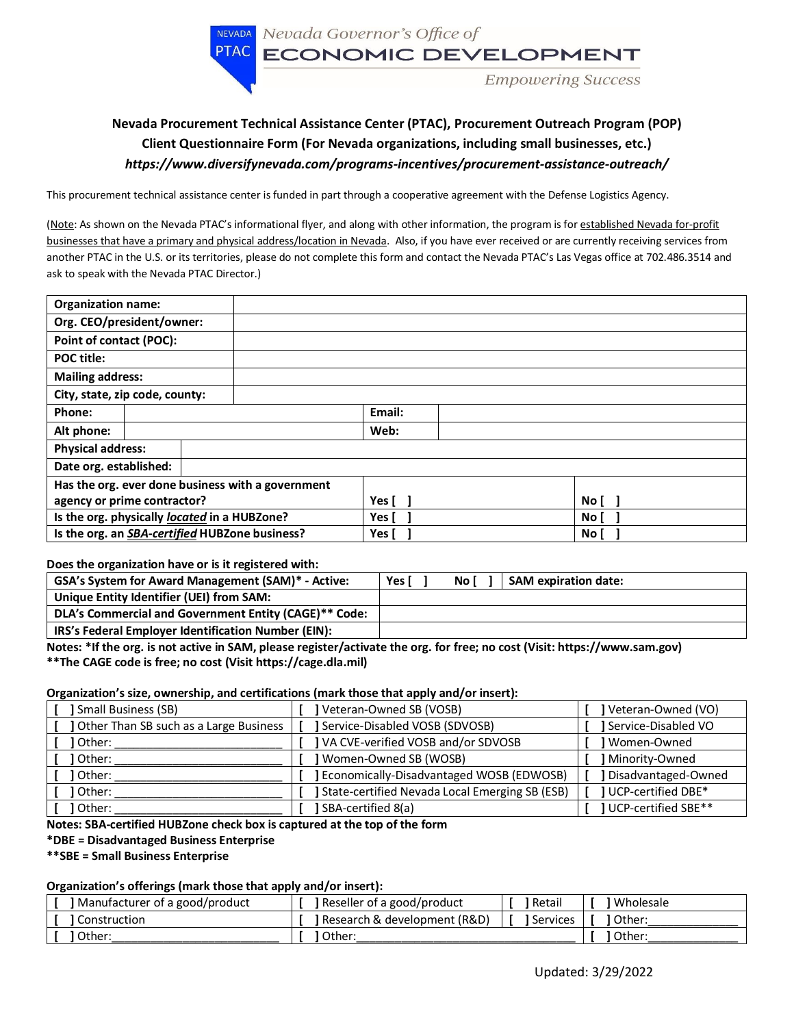NEVADA Nevada Governor's Office of

PTAC ECONOMIC DEVELOPMENT

Empowering Success

# **Nevada Procurement Technical Assistance Center (PTAC), Procurement Outreach Program (POP) Client Questionnaire Form (For Nevada organizations, including small businesses, etc.)**  *https://www.diversifynevada.com/programs-incentives/procurement-assistance-outreach/*

This procurement technical assistance center is funded in part through a cooperative agreement with the Defense Logistics Agency.

(Note: As shown on the Nevada PTAC's informational flyer, and along with other information, the program is for established Nevada for-profit businesses that have a primary and physical address/location in Nevada. Also, if you have ever received or are currently receiving services from another PTAC in the U.S. or its territories, please do not complete this form and contact the Nevada PTAC's Las Vegas office at 702.486.3514 and ask to speak with the Nevada PTAC Director.)

| <b>Organization name:</b>                      |                           |                                                   |               |  |      |  |  |
|------------------------------------------------|---------------------------|---------------------------------------------------|---------------|--|------|--|--|
|                                                | Org. CEO/president/owner: |                                                   |               |  |      |  |  |
| Point of contact (POC):                        |                           |                                                   |               |  |      |  |  |
| <b>POC title:</b>                              |                           |                                                   |               |  |      |  |  |
| <b>Mailing address:</b>                        |                           |                                                   |               |  |      |  |  |
| City, state, zip code, county:                 |                           |                                                   |               |  |      |  |  |
| Phone:                                         |                           |                                                   | Email:        |  |      |  |  |
| Alt phone:                                     |                           |                                                   | Web:          |  |      |  |  |
| <b>Physical address:</b>                       |                           |                                                   |               |  |      |  |  |
| Date org. established:                         |                           |                                                   |               |  |      |  |  |
|                                                |                           | Has the org. ever done business with a government |               |  |      |  |  |
| agency or prime contractor?                    |                           |                                                   | Yes [         |  | No [ |  |  |
| Is the org. physically located in a HUBZone?   |                           |                                                   | Yes [         |  | No l |  |  |
| Is the org. an SBA-certified HUBZone business? |                           |                                                   | Yes [<br>No l |  |      |  |  |

**Does the organization have or is it registered with:**

| GSA's System for Award Management (SAM)* - Active:    | Yes I |  | No l | <b>SAM expiration date:</b> |
|-------------------------------------------------------|-------|--|------|-----------------------------|
| Unique Entity Identifier (UEI) from SAM:              |       |  |      |                             |
| DLA's Commercial and Government Entity (CAGE)** Code: |       |  |      |                             |
| IRS's Federal Employer Identification Number (EIN):   |       |  |      |                             |

**Notes: \*If the org. is not active in SAM, please register/activate the org. for free; no cost (Visit: https://www.sam.gov) \*\*The CAGE code is free; no cost (Visit https://cage.dla.mil)**

### **Organization's size, ownership, and certifications (mark those that apply and/or insert):**

| Small Business (SB)                    | Veteran-Owned SB (VOSB)                        | Veteran-Owned (VO)          |
|----------------------------------------|------------------------------------------------|-----------------------------|
| Other Than SB such as a Large Business | Service-Disabled VOSB (SDVOSB)                 | Service-Disabled VO         |
| 1 Other:                               | VA CVE-verified VOSB and/or SDVOSB             | Women-Owned                 |
| ] Other:                               | ] Women-Owned SB (WOSB)                        | Minority-Owned              |
| ] Other:                               | J Economically-Disadvantaged WOSB (EDWOSB)     | Disadvantaged-Owned         |
| l Other:                               | State-certified Nevada Local Emerging SB (ESB) | <b>I</b> UCP-certified DBE* |
| Other:                                 | SBA-certified 8(a)                             | 1 UCP-certified SBE**       |

**Notes: SBA-certified HUBZone check box is captured at the top of the form**

#### **\*DBE = Disadvantaged Business Enterprise**

**\*\*SBE = Small Business Enterprise**

#### **Organization's offerings (mark those that apply and/or insert):**

| Manufacturer of a good/product | Reseller of a good/product            | Retail     | Wholesale |
|--------------------------------|---------------------------------------|------------|-----------|
| I Construction                 | <b>J</b> Research & development (R&D) | 1 Services | Other:    |
| l Other                        | Other                                 | Other:     |           |